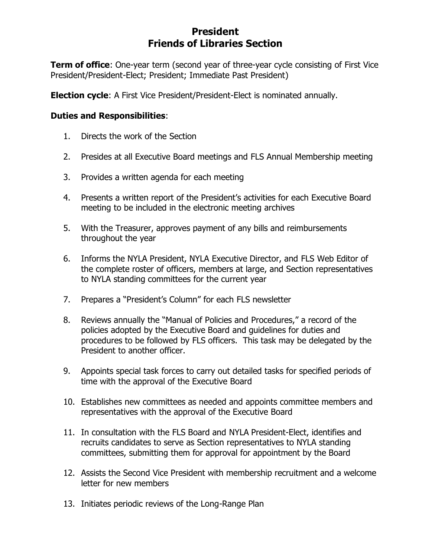## **President Friends of Libraries Section**

**Term of office**: One-year term (second year of three-year cycle consisting of First Vice President/President-Elect; President; Immediate Past President)

**Election cycle**: A First Vice President/President-Elect is nominated annually.

## **Duties and Responsibilities**:

- 1. Directs the work of the Section
- 2. Presides at all Executive Board meetings and FLS Annual Membership meeting
- 3. Provides a written agenda for each meeting
- 4. Presents a written report of the President's activities for each Executive Board meeting to be included in the electronic meeting archives
- 5. With the Treasurer, approves payment of any bills and reimbursements throughout the year
- 6. Informs the NYLA President, NYLA Executive Director, and FLS Web Editor of the complete roster of officers, members at large, and Section representatives to NYLA standing committees for the current year
- 7. Prepares a "President's Column" for each FLS newsletter
- 8. Reviews annually the "Manual of Policies and Procedures," a record of the policies adopted by the Executive Board and guidelines for duties and procedures to be followed by FLS officers. This task may be delegated by the President to another officer.
- 9. Appoints special task forces to carry out detailed tasks for specified periods of time with the approval of the Executive Board
- 10. Establishes new committees as needed and appoints committee members and representatives with the approval of the Executive Board
- 11. In consultation with the FLS Board and NYLA President-Elect, identifies and recruits candidates to serve as Section representatives to NYLA standing committees, submitting them for approval for appointment by the Board
- 12. Assists the Second Vice President with membership recruitment and a welcome letter for new members
- 13. Initiates periodic reviews of the Long-Range Plan